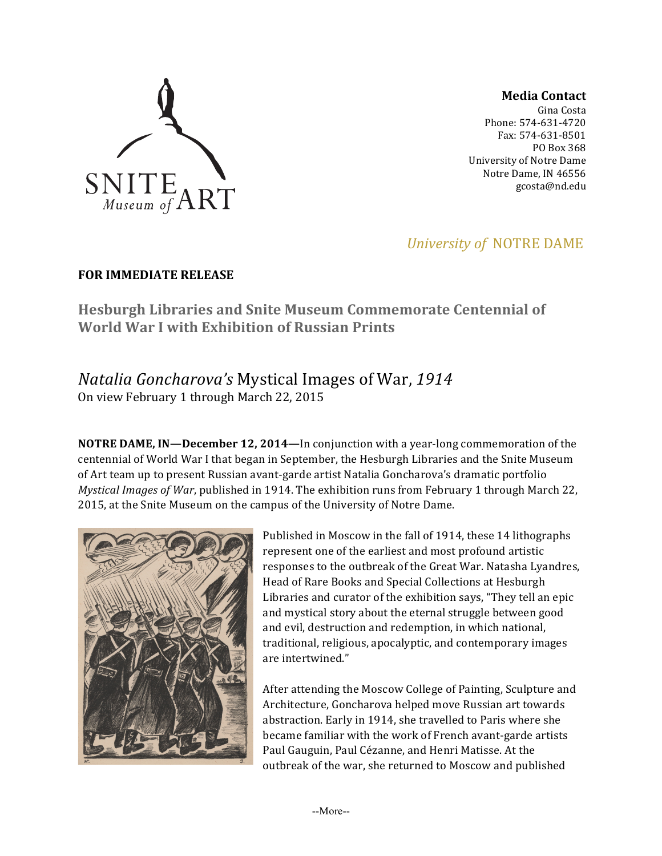

**Media Contact**

Gina Costa Phone: 574-631-4720 Fax: 574-631-8501 PO Box 368 University of Notre Dame Notre Dame, IN 46556 gcosta@nd.edu

# *University of NOTRE DAME*

### **FOR IMMEDIATE RELEASE**

**Hesburgh Libraries and Snite Museum Commemorate Centennial of World War I with Exhibition of Russian Prints**

## *Natalia Goncharova's* Mystical Images of War, *1914* On view February 1 through March 22, 2015

**NOTRE DAME, IN—December 12, 2014—In conjunction with a year-long commemoration of the** centennial of World War I that began in September, the Hesburgh Libraries and the Snite Museum of Art team up to present Russian avant-garde artist Natalia Goncharova's dramatic portfolio *Mystical Images of War*, published in 1914. The exhibition runs from February 1 through March 22, 2015, at the Snite Museum on the campus of the University of Notre Dame.



Published in Moscow in the fall of 1914, these 14 lithographs represent one of the earliest and most profound artistic responses to the outbreak of the Great War. Natasha Lyandres, Head of Rare Books and Special Collections at Hesburgh Libraries and curator of the exhibition says, "They tell an epic and mystical story about the eternal struggle between good and evil, destruction and redemption, in which national, traditional, religious, apocalyptic, and contemporary images are intertwined."

After attending the Moscow College of Painting, Sculpture and Architecture, Goncharova helped move Russian art towards abstraction. Early in 1914, she travelled to Paris where she became familiar with the work of French avant-garde artists Paul Gauguin, Paul Cézanne, and Henri Matisse. At the outbreak of the war, she returned to Moscow and published